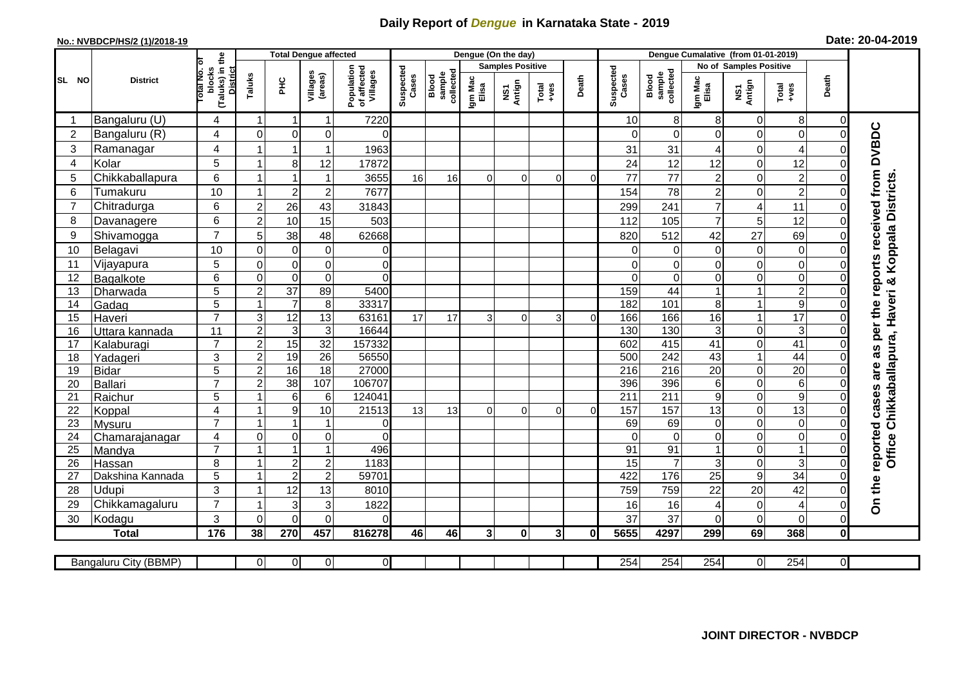## **Daily Report of** *Dengue* **in Karnataka State - 2019**

## **No.: NVBDCP/HS/2 (1)/2018-19 Date: 20-04-2019**

|                 |                       |                                                      | <b>Total Dengue affected</b> |                         |                     |                                       |                    |                              |                         | Dengue (On the day) |                  |              |                    |                              |                        |                               |                                                                      |                            |                                                                  |
|-----------------|-----------------------|------------------------------------------------------|------------------------------|-------------------------|---------------------|---------------------------------------|--------------------|------------------------------|-------------------------|---------------------|------------------|--------------|--------------------|------------------------------|------------------------|-------------------------------|----------------------------------------------------------------------|----------------------------|------------------------------------------------------------------|
|                 |                       |                                                      |                              |                         |                     |                                       |                    |                              | <b>Samples Positive</b> |                     |                  |              |                    |                              | No of Samples Positive |                               |                                                                      |                            |                                                                  |
| SL NO           | <b>District</b>       | (Taluks) in the<br>District<br>otal No. of<br>blocks | Taluks                       | ΞÉ                      | Villages<br>(areas) | Population<br>of affected<br>Villages | Suspected<br>Cases | sample<br>collected<br>Blood | Igm Mac<br>Elisa        | NS1<br>Antign       | $Tota$<br>$+ves$ | Death        | Suspected<br>Cases | collected<br>Blood<br>sample | Igm Mac<br>Elisa       | NS1<br>Antign                 | $\begin{array}{c}\n\text{Total} \\ \text{1} & \text{1}\n\end{array}$ | Death                      |                                                                  |
|                 | Bangaluru (U)         | 4                                                    | -1                           | -1                      | 1                   | 7220                                  |                    |                              |                         |                     |                  |              | 10                 | 8                            | 8                      | 0                             | 8                                                                    | 0                          |                                                                  |
| $\overline{2}$  | Bangaluru (R)         | $\overline{4}$                                       | $\mathbf 0$                  | $\mathbf 0$             | 0                   | $\Omega$                              |                    |                              |                         |                     |                  |              | $\Omega$           | $\Omega$                     | $\Omega$               | $\mathbf 0$                   | $\mathbf 0$                                                          | $\Omega$                   |                                                                  |
| 3               | Ramanagar             | 4                                                    |                              |                         | 1                   | 1963                                  |                    |                              |                         |                     |                  |              | 31                 | 31                           | 4                      | 0                             | 4                                                                    |                            |                                                                  |
| $\overline{4}$  | Kolar                 | 5                                                    | $\overline{1}$               | 8                       | 12                  | 17872                                 |                    |                              |                         |                     |                  |              | 24                 | 12                           | 12                     | $\mathbf 0$                   | 12                                                                   |                            |                                                                  |
| 5               | Chikkaballapura       | 6                                                    | $\mathbf{1}$                 |                         | 1                   | 3655                                  | 16                 | 16                           | $\Omega$                | $\Omega$            | $\Omega$         | $\Omega$     | 77                 | 77                           | $\overline{c}$         | 0                             | $\mathbf 2$                                                          | $\Omega$                   |                                                                  |
| 6               | Tumakuru              | 10                                                   | -1                           | $\overline{2}$          | $\overline{c}$      | 7677                                  |                    |                              |                         |                     |                  |              | 154                | 78                           | $\overline{c}$         | $\mathsf 0$                   | $\overline{c}$                                                       |                            |                                                                  |
| $\overline{7}$  | Chitradurga           | 6                                                    | $\overline{c}$               | 26                      | 43                  | 31843                                 |                    |                              |                         |                     |                  |              | 299                | 241                          | $\overline{7}$         | 4                             | 11                                                                   | $\Omega$                   |                                                                  |
| 8               | Davanagere            | 6                                                    | $\overline{2}$               | 10                      | 15                  | 503                                   |                    |                              |                         |                     |                  |              | 112                | 105                          | $\overline{7}$         | 5                             | 12                                                                   |                            |                                                                  |
| 9               | Shivamogga            | $\overline{7}$                                       | 5                            | 38                      | 48                  | 62668                                 |                    |                              |                         |                     |                  |              | 820                | 512                          | 42                     | 27                            | 69                                                                   |                            | <b>Koppala Districts</b>                                         |
| 10              | Belagavi              | 10                                                   | $\mathbf 0$                  | $\mathbf 0$             | $\mathbf 0$         | 0                                     |                    |                              |                         |                     |                  |              | $\Omega$           | $\Omega$                     | $\Omega$               | $\mathbf 0$                   | $\mathbf 0$                                                          |                            |                                                                  |
| 11              | Vijayapura            | 5                                                    | $\mathbf 0$                  | $\pmb{0}$               | $\mathsf 0$         | $\mathbf 0$                           |                    |                              |                         |                     |                  |              | 0                  | 0                            | $\mathbf 0$            | $\mathbf 0$                   | $\overline{0}$                                                       |                            |                                                                  |
| 12              | Bagalkote             | 6                                                    | $\mathbf 0$                  | $\mathbf 0$             | $\overline{0}$      | $\Omega$                              |                    |                              |                         |                     |                  |              | $\Omega$           | $\Omega$                     | $\Omega$               | $\overline{0}$                | $\overline{0}$                                                       |                            | ×ŏ                                                               |
| 13              | Dharwada              | $\overline{5}$                                       | $\overline{2}$               | $\overline{37}$         | 89                  | 5400                                  |                    |                              |                         |                     |                  |              | 159                | 44                           |                        | $\mathbf{1}$                  | $\overline{2}$                                                       |                            |                                                                  |
| 14              | Gadag                 | 5                                                    | $\overline{1}$               | $\overline{7}$          | $\,8\,$             | 33317                                 |                    |                              |                         |                     |                  |              | 182                | 101                          | 8                      | $\mathbf{1}$                  | $\overline{9}$                                                       |                            |                                                                  |
| 15              | Haveri                | $\overline{7}$                                       | 3                            | 12                      | 13                  | 63161                                 | 17                 | 17                           | 3                       | $\Omega$            | 3                | $\cap$       | 166                | 166                          | 16                     | $\mathbf{1}$                  | 17                                                                   |                            |                                                                  |
| 16              | Uttara kannada        | 11                                                   | $\overline{c}$               | $\mathsf 3$             | $\mathbf{3}$        | 16644                                 |                    |                              |                         |                     |                  |              | 130                | 130                          | $\mathbf{3}$           | 0                             | 3                                                                    |                            | Chikkaballapura, Haveri                                          |
| 17              | Kalaburagi            | $\overline{7}$                                       | $\overline{2}$               | 15                      | 32                  | 157332                                |                    |                              |                         |                     |                  |              | 602                | 415                          | $\overline{41}$        | $\overline{0}$                | 41                                                                   | $\Omega$                   |                                                                  |
| 18              | Yadageri              | 3                                                    | $\overline{c}$               | 19                      | 26                  | 56550                                 |                    |                              |                         |                     |                  |              | 500                | 242                          | 43                     | $\mathbf{1}$                  | 44                                                                   |                            |                                                                  |
| 19              | Bidar                 | 5                                                    | $\overline{2}$               | 16                      | $\overline{18}$     | 27000                                 |                    |                              |                         |                     |                  |              | 216                | $\overline{216}$             | $\overline{20}$        | 0                             | $\overline{20}$                                                      |                            |                                                                  |
| 20              | Ballari               | $\overline{7}$                                       | $\overline{c}$               | 38                      | 107                 | 106707                                |                    |                              |                         |                     |                  |              | 396                | 396                          | $\,6\,$                | $\overline{0}$                | $\overline{6}$                                                       |                            |                                                                  |
| 21              | Raichur               | 5                                                    |                              | 6                       | 6                   | 124041                                |                    |                              |                         |                     |                  |              | 211                | $\overline{211}$             | $\boldsymbol{9}$       | $\mathsf 0$                   | $\overline{9}$                                                       |                            |                                                                  |
| 22              | Koppal                | $\overline{4}$                                       |                              | $\boldsymbol{9}$        | 10                  | 21513                                 | 13                 | 13                           | $\Omega$                | $\Omega$            | $\Omega$         | $\Omega$     | 157                | 157                          | 13                     | $\overline{0}$                | 13                                                                   |                            |                                                                  |
| 23              | Mysuru                | $\overline{7}$                                       | -1                           | $\overline{\mathbf{1}}$ | 1                   | $\overline{0}$                        |                    |                              |                         |                     |                  |              | 69                 | 69                           | $\mathbf 0$            | $\mathsf 0$                   | $\mathsf 0$                                                          | $\Omega$                   |                                                                  |
| 24              | Chamarajanagar        | 4                                                    | $\mathbf 0$                  | $\mathsf{O}\xspace$     | 0                   | $\Omega$                              |                    |                              |                         |                     |                  |              | $\Omega$           | $\overline{0}$               | 0                      | $\mathsf 0$                   | $\overline{0}$                                                       | $\Omega$                   |                                                                  |
| $\overline{25}$ | Mandya                | $\overline{7}$                                       | $\overline{ }$               | $\overline{1}$          | $\overline{1}$      | 496                                   |                    |                              |                         |                     |                  |              | 91                 | 91                           |                        | $\overline{0}$                | $\overline{1}$                                                       | $\mathbf 0$                | Office                                                           |
| 26              | Hassan                | 8                                                    | 1                            | $\overline{2}$          | $\overline{c}$      | 1183<br>59701                         |                    |                              |                         |                     |                  |              | 15<br>422          | 7<br>176                     | 3                      | $\mathsf 0$<br>$\overline{9}$ | 3<br>34                                                              | $\Omega$<br>$\overline{0}$ |                                                                  |
| 27              | Dakshina Kannada      | 5                                                    |                              | $\overline{2}$          | $\overline{2}$      |                                       |                    |                              |                         |                     |                  |              |                    |                              | $\overline{25}$        |                               |                                                                      |                            |                                                                  |
| 28              | <b>Udupi</b>          | 3<br>$\overline{7}$                                  |                              | 12                      | 13                  | 8010                                  |                    |                              |                         |                     |                  |              | 759                | 759                          | 22                     | 20                            | 42                                                                   |                            | On the reported cases are as per the reports received from DVBDC |
| 29              | Chikkamagaluru        | 3                                                    | $\Omega$                     | 3<br>$\mathbf{0}$       | 3<br>0              | 1822<br>$\Omega$                      |                    |                              |                         |                     |                  |              | 16<br>37           | 16<br>37                     | 4                      | $\pmb{0}$<br>$\mathbf 0$      | $\overline{4}$<br>$\mathbf 0$                                        | $\Omega$<br>$\Omega$       |                                                                  |
| 30              | Kodagu                |                                                      |                              |                         |                     |                                       |                    |                              |                         |                     |                  |              |                    |                              | $\Omega$               |                               |                                                                      |                            |                                                                  |
|                 | <b>Total</b>          | $\frac{1}{176}$                                      | 38                           | 270                     | 457                 | 816278                                | 46                 | 46                           | 3 <sup>1</sup>          | $\mathbf{0}$        | $\mathbf{3}$     | $\mathbf{0}$ | 5655               | 4297                         | 299                    | 69                            | 368                                                                  | $\mathbf 0$                |                                                                  |
|                 | Bangaluru City (BBMP) |                                                      | $\overline{0}$               | $\overline{0}$          | 0                   | $\overline{0}$                        |                    |                              |                         |                     |                  |              | 254                | 254                          | 254                    | $\overline{0}$                | 254                                                                  | $\overline{0}$             |                                                                  |